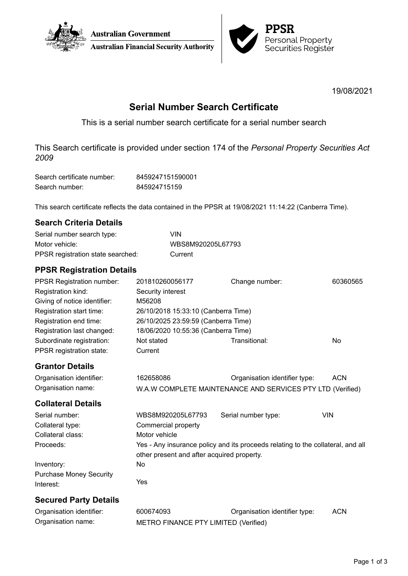



19/08/2021

# **Serial Number Search Certificate**

This is a serial number search certificate for a serial number search

This Search certificate is provided under section 174 of the *Personal Property Securities Act 2009*

| Search certificate number: | 8459247151590001 |
|----------------------------|------------------|
| Search number:             | 845924715159     |

This search certificate reflects the data contained in the PPSR at 19/08/2021 11:14:22 (Canberra Time).

## **Search Criteria Details**

| Serial number search type:        | VIN               |
|-----------------------------------|-------------------|
| Motor vehicle:                    | WBS8M920205L67793 |
| PPSR registration state searched: | Current           |

Organisation name: METRO FINANCE PTY LIMITED (Verified)

## **PPSR Registration Details**

| <b>PPSR Registration number:</b><br>Registration kind:<br>Giving of notice identifier:<br>Registration start time:<br>Registration end time:<br>Registration last changed:<br>Subordinate registration:<br>PPSR registration state: | 201810260056177<br>Security interest<br>M56208<br>26/10/2018 15:33:10 (Canberra Time)<br>26/10/2025 23:59:59 (Canberra Time)<br>18/06/2020 10:55:36 (Canberra Time)<br>Not stated<br>Current | Change number:<br>Transitional:                                                 | 60360565<br><b>No</b> |  |
|-------------------------------------------------------------------------------------------------------------------------------------------------------------------------------------------------------------------------------------|----------------------------------------------------------------------------------------------------------------------------------------------------------------------------------------------|---------------------------------------------------------------------------------|-----------------------|--|
| <b>Grantor Details</b>                                                                                                                                                                                                              |                                                                                                                                                                                              |                                                                                 |                       |  |
| Organisation identifier:                                                                                                                                                                                                            | 162658086                                                                                                                                                                                    | Organisation identifier type:                                                   | <b>ACN</b>            |  |
| Organisation name:                                                                                                                                                                                                                  | W.A.W COMPLETE MAINTENANCE AND SERVICES PTY LTD (Verified)                                                                                                                                   |                                                                                 |                       |  |
| <b>Collateral Details</b>                                                                                                                                                                                                           |                                                                                                                                                                                              |                                                                                 |                       |  |
| Serial number:                                                                                                                                                                                                                      | WBS8M920205L67793                                                                                                                                                                            | Serial number type:                                                             | <b>VIN</b>            |  |
| Collateral type:                                                                                                                                                                                                                    | Commercial property                                                                                                                                                                          |                                                                                 |                       |  |
| Collateral class:                                                                                                                                                                                                                   | Motor vehicle                                                                                                                                                                                |                                                                                 |                       |  |
| Proceeds:                                                                                                                                                                                                                           | other present and after acquired property.                                                                                                                                                   | Yes - Any insurance policy and its proceeds relating to the collateral, and all |                       |  |
| Inventory:                                                                                                                                                                                                                          | <b>No</b>                                                                                                                                                                                    |                                                                                 |                       |  |
| <b>Purchase Money Security</b><br>Interest:                                                                                                                                                                                         | Yes                                                                                                                                                                                          |                                                                                 |                       |  |
| <b>Secured Party Details</b>                                                                                                                                                                                                        |                                                                                                                                                                                              |                                                                                 |                       |  |
| Organisation identifier:                                                                                                                                                                                                            | 600674093                                                                                                                                                                                    | Organisation identifier type:                                                   | <b>ACN</b>            |  |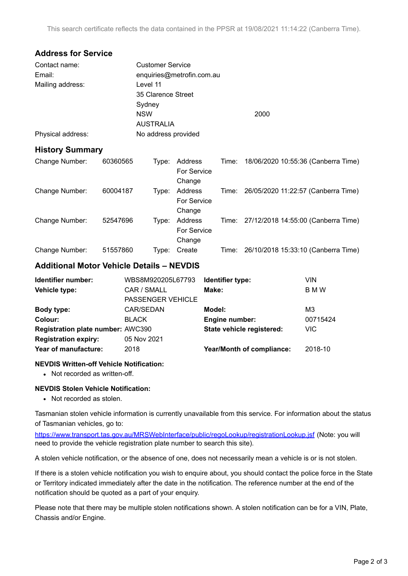## **Address for Service**

| Contact name:     | <b>Customer Service</b>   |      |  |
|-------------------|---------------------------|------|--|
| Email:            | enquiries@metrofin.com.au |      |  |
| Mailing address:  | Level 11                  |      |  |
|                   | 35 Clarence Street        |      |  |
|                   | Sydney                    |      |  |
|                   | <b>NSW</b>                | 2000 |  |
|                   | <b>AUSTRALIA</b>          |      |  |
| Physical address: | No address provided       |      |  |

### **History Summary**

| Change Number: | 60360565 | Type: | Address<br>For Service<br>Change | Time: | 18/06/2020 10:55:36 (Canberra Time)       |
|----------------|----------|-------|----------------------------------|-------|-------------------------------------------|
| Change Number: | 60004187 | Type: | Address<br>For Service<br>Change | Time: | 26/05/2020 11:22:57 (Canberra Time)       |
| Change Number: | 52547696 | Type: | Address<br>For Service<br>Change |       | Time: 27/12/2018 14:55:00 (Canberra Time) |
| Change Number: | 51557860 | Type: | Create                           | Time: | 26/10/2018 15:33:10 (Canberra Time)       |

## **Additional Motor Vehicle Details – NEVDIS**

| Identifier number:                       | WBS8M920205L67793        | Identifier type:          | VIN        |
|------------------------------------------|--------------------------|---------------------------|------------|
| Vehicle type:                            | CAR / SMALL              | Make:                     | <b>BMW</b> |
|                                          | <b>PASSENGER VEHICLE</b> |                           |            |
| Body type:                               | CAR/SEDAN                | Model:                    | MЗ         |
| Colour:                                  | <b>BLACK</b>             | <b>Engine number:</b>     | 00715424   |
| <b>Registration plate number: AWC390</b> |                          | State vehicle registered: | VIC.       |
| <b>Registration expiry:</b>              | 05 Nov 2021              |                           |            |
| Year of manufacture:                     | 2018                     | Year/Month of compliance: | 2018-10    |

#### **NEVDIS Written-off Vehicle Notification:**

• Not recorded as written-off.

#### **NEVDIS Stolen Vehicle Notification:**

• Not recorded as stolen.

Tasmanian stolen vehicle information is currently unavailable from this service. For information about the status of Tasmanian vehicles, go to:

<https://www.transport.tas.gov.au/MRSWebInterface/public/regoLookup/registrationLookup.jsf> (Note: you will need to provide the vehicle registration plate number to search this site).

A stolen vehicle notification, or the absence of one, does not necessarily mean a vehicle is or is not stolen.

If there is a stolen vehicle notification you wish to enquire about, you should contact the police force in the State or Territory indicated immediately after the date in the notification. The reference number at the end of the notification should be quoted as a part of your enquiry.

Please note that there may be multiple stolen notifications shown. A stolen notification can be for a VIN, Plate, Chassis and/or Engine.